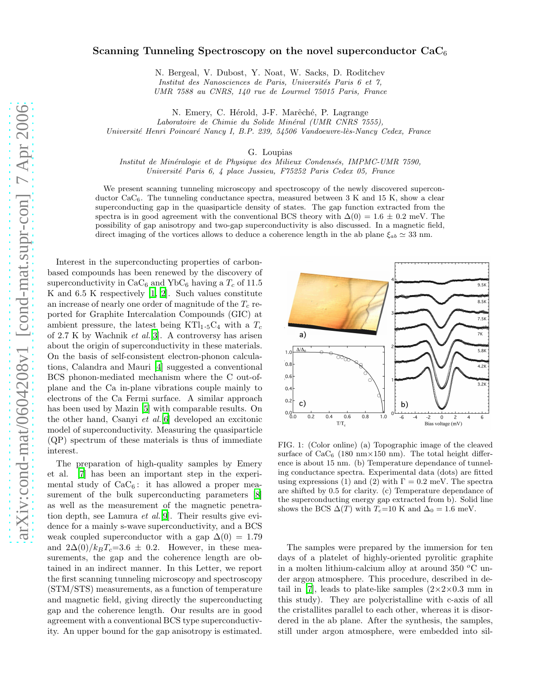## Scanning Tunneling Spectroscopy on the novel superconductor  $CaC_6$

N. Bergeal, V. Dubost, Y. Noat, W. Sacks, D. Roditchev Institut des Nanosciences de Paris, Universités Paris 6 et 7, UMR 7588 au CNRS, 140 rue de Lourmel 75015 Paris, France

N. Emery, C. Hérold, J-F. Marêché, P. Lagrange

Laboratoire de Chimie du Solide Minéral (UMR CNRS 7555), Université Henri Poincaré Nancy I, B.P. 239, 54506 Vandoeuvre-lès-Nancy Cedex, France

G. Loupias

Institut de Minéralogie et de Physique des Milieux Condensés, IMPMC-UMR 7590, Université Paris 6, 4 place Jussieu, F75252 Paris Cedex 05, France

We present scanning tunneling microscopy and spectroscopy of the newly discovered superconductor  $CaC_6$ . The tunneling conductance spectra, measured between 3 K and 15 K, show a clear superconducting gap in the quasiparticle density of states. The gap function extracted from the spectra is in good agreement with the conventional BCS theory with  $\Delta(0) = 1.6 \pm 0.2$  meV. The possibility of gap anisotropy and two-gap superconductivity is also discussed. In a magnetic field, direct imaging of the vortices allows to deduce a coherence length in the ab plane  $\xi_{ab} \simeq 33$  nm.

Interest in the superconducting properties of carbonbased compounds has been renewed by the discovery of superconductivity in  $CaC_6$  and YbC<sub>6</sub> having a  $T_c$  of 11.5 K and 6.5 K respectively [\[1,](#page-3-0) [2\]](#page-3-1). Such values constitute an increase of nearly one order of magnitude of the  $T_c$  reported for Graphite Intercalation Compounds (GIC) at ambient pressure, the latest being KTl<sub>1</sub>.5C<sub>4</sub> with a  $T_c$ of  $2.7$  K by Wachnik *et al.*[\[3\]](#page-3-2). A controversy has arisen about the origin of superconductivity in these materials. On the basis of self-consistent electron-phonon calculations, Calandra and Mauri [\[4\]](#page-3-3) suggested a conventional BCS phonon-mediated mechanism where the C out-ofplane and the Ca in-plane vibrations couple mainly to electrons of the Ca Fermi surface. A similar approach has been used by Mazin [\[5\]](#page-3-4) with comparable results. On the other hand, Csanyi et al.[\[6\]](#page-3-5) developed an excitonic model of superconductivity. Measuring the quasiparticle (QP) spectrum of these materials is thus of immediate interest.

The preparation of high-quality samples by Emery et al. [\[7\]](#page-3-6) has been an important step in the experimental study of  $CaC_6$ : it has allowed a proper measurement of the bulk superconducting parameters [\[8](#page-3-7)] as well as the measurement of the magnetic penetration depth, see Lamura et al.[\[9](#page-3-8)]. Their results give evidence for a mainly s-wave superconductivity, and a BCS weak coupled superconductor with a gap  $\Delta(0) = 1.79$ and  $2\Delta(0)/k_BT_c=3.6\pm 0.2$ . However, in these measurements, the gap and the coherence length are obtained in an indirect manner. In this Letter, we report the first scanning tunneling microscopy and spectroscopy (STM/STS) measurements, as a function of temperature and magnetic field, giving directly the superconducting gap and the coherence length. Our results are in good agreement with a conventional BCS type superconductivity. An upper bound for the gap anisotropy is estimated.



<span id="page-0-0"></span>FIG. 1: (Color online) (a) Topographic image of the cleaved surface of  $CaC_6$  (180 nm $\times$ 150 nm). The total height difference is about 15 nm. (b) Temperature dependance of tunneling conductance spectra. Experimental data (dots) are fitted using expressions (1) and (2) with  $\Gamma = 0.2$  meV. The spectra are shifted by 0.5 for clarity. (c) Temperature dependance of the superconducting energy gap extracted from b). Solid line shows the BCS  $\Delta(T)$  with  $T_c=10$  K and  $\Delta_0=1.6$  meV.

The samples were prepared by the immersion for ten days of a platelet of highly-oriented pyrolitic graphite in a molten lithium-calcium alloy at around 350  $^{\circ}$ C under argon atmosphere. This procedure, described in de-tail in [\[7\]](#page-3-6), leads to plate-like samples  $(2\times2\times0.3 \text{ mm in})$ this study). They are polycristalline with c-axis of all the cristallites parallel to each other, whereas it is disordered in the ab plane. After the synthesis, the samples, still under argon atmosphere, were embedded into sil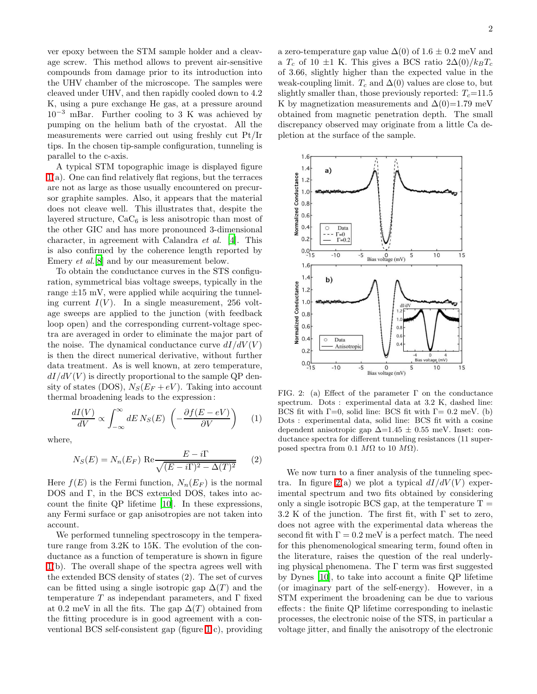ver epoxy between the STM sample holder and a cleavage screw. This method allows to prevent air-sensitive compounds from damage prior to its introduction into the UHV chamber of the microscope. The samples were cleaved under UHV, and then rapidly cooled down to 4.2 K, using a pure exchange He gas, at a pressure around  $10^{-3}$  mBar. Further cooling to 3 K was achieved by pumping on the helium bath of the cryostat. All the measurements were carried out using freshly cut Pt/Ir tips. In the chosen tip-sample configuration, tunneling is parallel to the c-axis.

A typical STM topographic image is displayed figure [1\(](#page-0-0)a). One can find relatively flat regions, but the terraces are not as large as those usually encountered on precursor graphite samples. Also, it appears that the material does not cleave well. This illustrates that, despite the layered structure,  $CaC_6$  is less anisotropic than most of the other GIC and has more pronounced 3-dimensional character, in agreement with Calandra et al. [\[4](#page-3-3)]. This is also confirmed by the coherence length reported by Emery *et al.*[\[8\]](#page-3-7) and by our measurement below.

To obtain the conductance curves in the STS configuration, symmetrical bias voltage sweeps, typically in the range  $\pm 15$  mV, were applied while acquiring the tunneling current  $I(V)$ . In a single measurement, 256 voltage sweeps are applied to the junction (with feedback loop open) and the corresponding current-voltage spectra are averaged in order to eliminate the major part of the noise. The dynamical conductance curve  $dI/dV(V)$ is then the direct numerical derivative, without further data treatment. As is well known, at zero temperature,  $dI/dV(V)$  is directly proportional to the sample QP density of states (DOS),  $N_S(E_F + eV)$ . Taking into account thermal broadening leads to the expression :

$$
\frac{dI(V)}{dV} \propto \int_{-\infty}^{\infty} dE \, N_S(E) \, \left( -\frac{\partial f(E - eV)}{\partial V} \right) \tag{1}
$$

where,

$$
N_S(E) = N_n(E_F) \text{ Re } \frac{E - i\Gamma}{\sqrt{(E - i\Gamma)^2 - \Delta(T)^2}} \qquad (2)
$$

Here  $f(E)$  is the Fermi function,  $N_n(E_F)$  is the normal DOS and Γ, in the BCS extended DOS, takes into account the finite QP lifetime [\[10\]](#page-3-9). In these expressions, any Fermi surface or gap anisotropies are not taken into account.

We performed tunneling spectroscopy in the temperature range from 3.2K to 15K. The evolution of the conductance as a function of temperature is shown in figure [1\(](#page-0-0)b). The overall shape of the spectra agrees well with the extended BCS density of states (2). The set of curves can be fitted using a single isotropic gap  $\Delta(T)$  and the temperature  $T$  as independant parameters, and  $\Gamma$  fixed at 0.2 meV in all the fits. The gap  $\Delta(T)$  obtained from the fitting procedure is in good agreement with a conventional BCS self-consistent gap (figure [1](#page-0-0) c), providing a zero-temperature gap value  $\Delta(0)$  of 1.6 ± 0.2 meV and a  $T_c$  of 10 ±1 K. This gives a BCS ratio  $2\Delta(0)/k_BT_c$ of 3.66, slightly higher than the expected value in the weak-coupling limit.  $T_c$  and  $\Delta(0)$  values are close to, but slightly smaller than, those previously reported:  $T_c$ =11.5 K by magnetization measurements and  $\Delta(0)=1.79$  meV obtained from magnetic penetration depth. The small discrepancy observed may originate from a little Ca depletion at the surface of the sample.



<span id="page-1-0"></span>FIG. 2: (a) Effect of the parameter  $\Gamma$  on the conductance spectrum. Dots : experimental data at 3.2 K, dashed line: BCS fit with  $\Gamma=0$ , solid line: BCS fit with  $\Gamma=0.2$  meV. (b) Dots : experimental data, solid line: BCS fit with a cosine dependent anisotropic gap  $\Delta=1.45\pm0.55$  meV. Inset: conductance spectra for different tunneling resistances (11 superposed spectra from 0.1  $M\Omega$  to 10  $M\Omega$ ).

We now turn to a finer analysis of the tunneling spec-tra. In figure [2\(](#page-1-0)a) we plot a typical  $dI/dV(V)$  experimental spectrum and two fits obtained by considering only a single isotropic BCS gap, at the temperature  $T =$ 3.2 K of the junction. The first fit, with  $\Gamma$  set to zero, does not agree with the experimental data whereas the second fit with  $\Gamma = 0.2$  meV is a perfect match. The need for this phenomenological smearing term, found often in the literature, raises the question of the real underlying physical phenomena. The  $\Gamma$  term was first suggested by Dynes [\[10\]](#page-3-9), to take into account a finite QP lifetime (or imaginary part of the self-energy). However, in a STM experiment the broadening can be due to various effects : the finite QP lifetime corresponding to inelastic processes, the electronic noise of the STS, in particular a voltage jitter, and finally the anisotropy of the electronic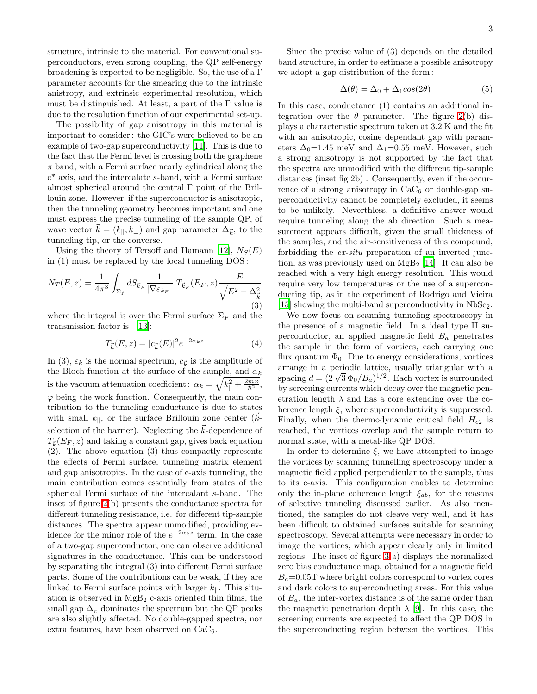structure, intrinsic to the material. For conventional superconductors, even strong coupling, the QP self-energy broadening is expected to be negligible. So, the use of a  $\Gamma$ parameter accounts for the smearing due to the intrinsic anistropy, and extrinsic experimental resolution, which must be distinguished. At least, a part of the  $\Gamma$  value is due to the resolution function of our experimental set-up.

The possibility of gap anisotropy in this material is important to consider : the GIC's were believed to be an example of two-gap superconductivity [\[11\]](#page-3-10). This is due to the fact that the Fermi level is crossing both the graphene  $\pi$  band, with a Fermi surface nearly cylindrical along the c\* axis, and the intercalate s-band, with a Fermi surface almost spherical around the central Γ point of the Brillouin zone. However, if the superconductor is anisotropic, then the tunneling geometry becomes important and one must express the precise tunneling of the sample QP, of wave vector  $\vec{k} = (k_{\parallel}, k_{\perp})$  and gap parameter  $\Delta_{\vec{k}}$ , to the tunneling tip, or the converse.

Using the theory of Tersoff and Hamann [\[12](#page-3-11)],  $N_S(E)$ in (1) must be replaced by the local tunneling DOS :

$$
N_T(E, z) = \frac{1}{4\pi^3} \int_{\Sigma_f} dS_{\vec{k}_F} \frac{1}{|\nabla \varepsilon_{k_F}|} T_{\vec{k}_F}(E_F, z) \frac{E}{\sqrt{E^2 - \Delta_{\vec{k}}^2}}
$$
(3)

where the integral is over the Fermi surface  $\Sigma_F$  and the transmission factor is [\[13\]](#page-3-12):

$$
T_{\vec{k}}(E, z) = |c_{\vec{k}}(E)|^2 e^{-2\alpha_k z}
$$
 (4)

In (3),  $\varepsilon_k$  is the normal spectrum,  $c_{\vec{k}}$  is the amplitude of the Bloch function at the surface of the sample, and  $\alpha_k$ is the vacuum attenuation coefficient:  $\alpha_k = \sqrt{k_{\parallel}^2 + \frac{2m\varphi}{\hbar^2}}$  $\frac{m\varphi}{\hbar^2},$  $\varphi$  being the work function. Consequently, the main contribution to the tunneling conductance is due to states with small  $k_{\parallel}$ , or the surface Brillouin zone center ( $k$ selection of the barrier). Neglecting the  $k$ -dependence of  $T_{\vec{k}}(E_F, z)$  and taking a constant gap, gives back equation (2). The above equation (3) thus compactly represents the effects of Fermi surface, tunneling matrix element and gap anisotropies. In the case of c-axis tunneling, the main contribution comes essentially from states of the spherical Fermi surface of the intercalant s-band. The inset of figure [2\(](#page-1-0)b) presents the conductance spectra for different tunneling resistance, i.e. for different tip-sample distances. The spectra appear unmodified, providing evidence for the minor role of the  $e^{-2\alpha_k z}$  term. In the case of a two-gap superconductor, one can observe additional signatures in the conductance. This can be understood by separating the integral (3) into different Fermi surface parts. Some of the contributions can be weak, if they are linked to Fermi surface points with larger  $k_{\parallel}$ . This situation is observed in  $MgB<sub>2</sub>$  c-axis oriented thin films, the small gap  $\Delta_{\pi}$  dominates the spectrum but the QP peaks are also slightly affected. No double-gapped spectra, nor extra features, have been observed on  $CaC<sub>6</sub>$ .

Since the precise value of (3) depends on the detailed band structure, in order to estimate a possible anisotropy we adopt a gap distribution of the form :

$$
\Delta(\theta) = \Delta_0 + \Delta_1 \cos(2\theta) \tag{5}
$$

In this case, conductance (1) contains an additional integration over the  $\theta$  parameter. The figure [2\(](#page-1-0)b) displays a characteristic spectrum taken at 3.2 K and the fit with an anisotropic, cosine dependant gap with parameters  $\Delta_0=1.45$  meV and  $\Delta_1=0.55$  meV. However, such a strong anisotropy is not supported by the fact that the spectra are unmodified with the different tip-sample distances (inset fig 2b) . Consequently, even if the occurrence of a strong anisotropy in  $CaC_6$  or double-gap superconductivity cannot be completely excluded, it seems to be unlikely. Neverthless, a definitive answer would require tunneling along the ab direction. Such a measurement appears difficult, given the small thickness of the samples, and the air-sensitiveness of this compound, forbidding the ex-situ preparation of an inverted junction, as was previously used on  $MgB_2$  [\[14\]](#page-3-13). It can also be reached with a very high energy resolution. This would require very low temperatures or the use of a superconducting tip, as in the experiment of Rodrigo and Vieira [\[15\]](#page-3-14) showing the multi-band superconductivity in NbSe<sub>2</sub>.

We now focus on scanning tunneling spectroscopy in the presence of a magnetic field. In a ideal type II superconductor, an applied magnetic field  $B_a$  penetrates the sample in the form of vortices, each carrying one flux quantum  $\Phi_0$ . Due to energy considerations, vortices arrange in a periodic lattice, usually triangular with a spacing  $d = (2\sqrt{3}\Phi_0/B_a)^{1/2}$ . Each vortex is surrounded by screening currents which decay over the magnetic penetration length  $\lambda$  and has a core extending over the coherence length  $\xi$ , where superconductivity is suppressed. Finally, when the thermodynamic critical field  $H_{c2}$  is reached, the vortices overlap and the sample return to normal state, with a metal-like QP DOS.

In order to determine  $\xi$ , we have attempted to image the vortices by scanning tunnelling spectroscopy under a magnetic field applied perpendicular to the sample, thus to its c-axis. This configuration enables to determine only the in-plane coherence length  $\xi_{ab}$ , for the reasons of selective tunneling discussed earlier. As also mentioned, the samples do not cleave very well, and it has been difficult to obtained surfaces suitable for scanning spectroscopy. Several attempts were necessary in order to image the vortices, which appear clearly only in limited regions. The inset of figure [3](#page-3-15) a) displays the normalized zero bias conductance map, obtained for a magnetic field  $B_a=0.05$ T where bright colors correspond to vortex cores and dark colors to superconducting areas. For this value of  $B_a$ , the inter-vortex distance is of the same order than the magnetic penetration depth  $\lambda$  [\[9\]](#page-3-8). In this case, the screening currents are expected to affect the QP DOS in the superconducting region between the vortices. This